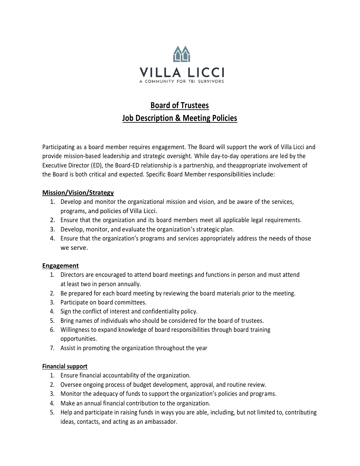

# **Board of Trustees Job Description & Meeting Policies**

Participating as a board member requires engagement. The Board will support the work of Villa Licci and provide mission-based leadership and strategic oversight. While day-to-day operations are led by the Executive Director (ED), the Board-ED relationship is a partnership, and theappropriate involvement of the Board is both critical and expected. Specific Board Member responsibilities include:

## **Mission/Vision/Strategy**

- 1. Develop and monitor the organizational mission and vision, and be aware of the services, programs, and policies of Villa Licci.
- 2. Ensure that the organization and its board members meet all applicable legal requirements.
- 3. Develop, monitor, and evaluate the organization's strategic plan.
- 4. Ensure that the organization's programs and services appropriately address the needs of those we serve.

#### **Engagement**

- 1. Directors are encouraged to attend board meetings and functions in person and must attend at least two in person annually.
- 2. Be prepared for each board meeting by reviewing the board materials prior to the meeting.
- 3. Participate on board committees.
- 4. Sign the conflict of interest and confidentiality policy.
- 5. Bring names of individuals who should be considered for the board of trustees.
- 6. Willingness to expand knowledge of board responsibilities through board training opportunities.
- 7. Assist in promoting the organization throughout the year

#### **Financial support**

- 1. Ensure financial accountability of the organization.
- 2. Oversee ongoing process of budget development, approval, and routine review.
- 3. Monitor the adequacy of funds to support the organization's policies and programs.
- 4. Make an annual financial contribution to the organization.
- 5. Help and participate in raising funds in ways you are able, including, but not limited to, contributing ideas, contacts, and acting as an ambassador.